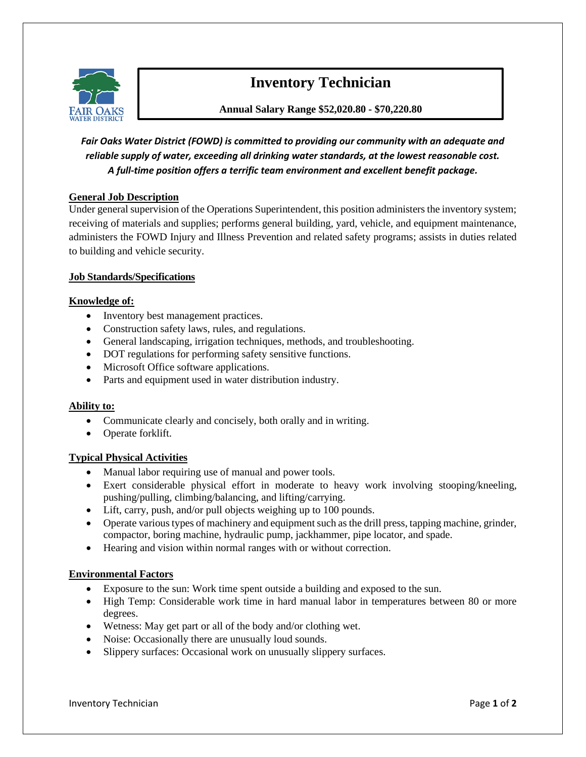

# **Inventory Technician**

**Annual Salary Range \$52,020.80 - \$70,220.80**

*Fair Oaks Water District (FOWD) is committed to providing our community with an adequate and reliable supply of water, exceeding all drinking water standards, at the lowest reasonable cost. A full-time position offers a terrific team environment and excellent benefit package.*

## **General Job Description**

Under general supervision of the Operations Superintendent, this position administers the inventory system; receiving of materials and supplies; performs general building, yard, vehicle, and equipment maintenance, administers the FOWD Injury and Illness Prevention and related safety programs; assists in duties related to building and vehicle security.

#### **Job Standards/Specifications**

#### **Knowledge of:**

- Inventory best management practices.
- Construction safety laws, rules, and regulations.
- General landscaping, irrigation techniques, methods, and troubleshooting.
- DOT regulations for performing safety sensitive functions.
- Microsoft Office software applications.
- Parts and equipment used in water distribution industry.

#### **Ability to:**

- Communicate clearly and concisely, both orally and in writing.
- Operate forklift.

#### **Typical Physical Activities**

- Manual labor requiring use of manual and power tools.
- Exert considerable physical effort in moderate to heavy work involving stooping/kneeling, pushing/pulling, climbing/balancing, and lifting/carrying.
- Lift, carry, push, and/or pull objects weighing up to 100 pounds.
- Operate various types of machinery and equipment such as the drill press, tapping machine, grinder, compactor, boring machine, hydraulic pump, jackhammer, pipe locator, and spade.
- Hearing and vision within normal ranges with or without correction.

#### **Environmental Factors**

- Exposure to the sun: Work time spent outside a building and exposed to the sun.
- High Temp: Considerable work time in hard manual labor in temperatures between 80 or more degrees.
- Wetness: May get part or all of the body and/or clothing wet.
- Noise: Occasionally there are unusually loud sounds.
- Slippery surfaces: Occasional work on unusually slippery surfaces.